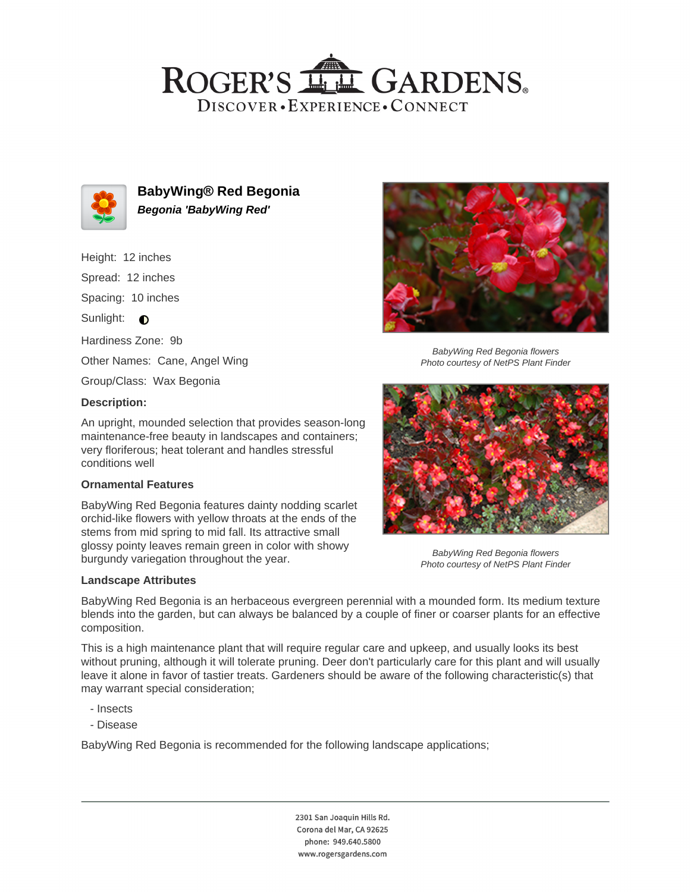## ROGER'S LL GARDENS. DISCOVER · EXPERIENCE · CONNECT



**BabyWing® Red Begonia Begonia 'BabyWing Red'**

Height: 12 inches

Spread: 12 inches

Spacing: 10 inches

Sunlight:  $\bullet$ 

Hardiness Zone: 9b

Other Names: Cane, Angel Wing

Group/Class: Wax Begonia

## **Description:**

An upright, mounded selection that provides season-long maintenance-free beauty in landscapes and containers; very floriferous; heat tolerant and handles stressful conditions well

## **Ornamental Features**

BabyWing Red Begonia features dainty nodding scarlet orchid-like flowers with yellow throats at the ends of the stems from mid spring to mid fall. Its attractive small glossy pointy leaves remain green in color with showy burgundy variegation throughout the year.

#### **Landscape Attributes**



BabyWing Red Begonia flowers Photo courtesy of NetPS Plant Finder



BabyWing Red Begonia flowers Photo courtesy of NetPS Plant Finder

BabyWing Red Begonia is an herbaceous evergreen perennial with a mounded form. Its medium texture blends into the garden, but can always be balanced by a couple of finer or coarser plants for an effective composition.

This is a high maintenance plant that will require regular care and upkeep, and usually looks its best without pruning, although it will tolerate pruning. Deer don't particularly care for this plant and will usually leave it alone in favor of tastier treats. Gardeners should be aware of the following characteristic(s) that may warrant special consideration;

- Insects
- Disease

BabyWing Red Begonia is recommended for the following landscape applications;

2301 San Joaquin Hills Rd. Corona del Mar, CA 92625 phone: 949.640.5800 www.rogersgardens.com